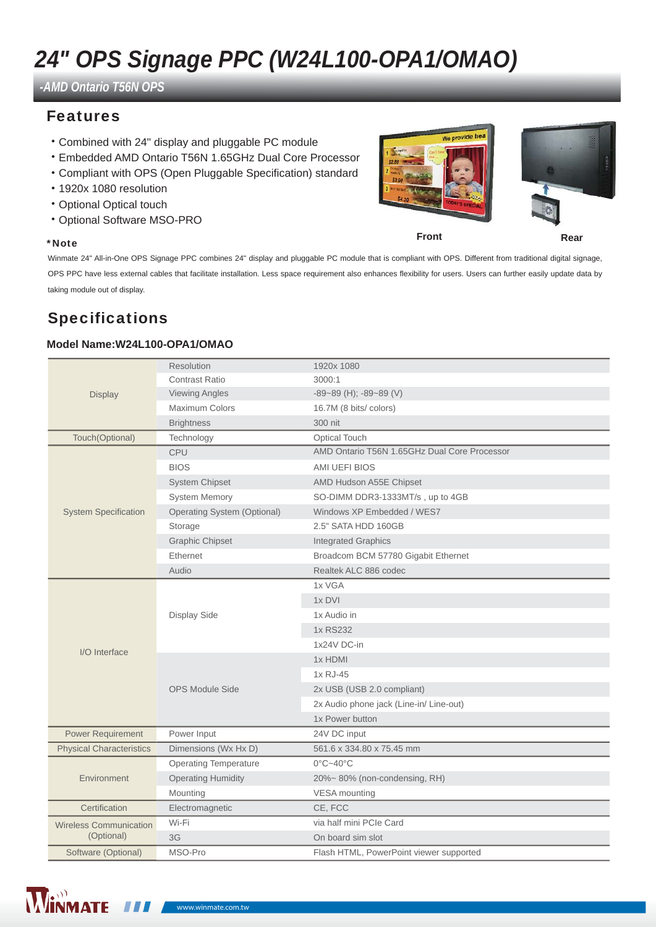# *24" OPS Signage PPC (W24L100-OPA1/OMAO)*

*-AMD Ontario T56N OPS*

### Features

- ˙Combined with 24" display and pluggable PC module
- ˙Embedded AMD Ontario T56N 1.65GHz Dual Core Processor
- ˙Compliant with OPS (Open Pluggable Specification) standard
- ˙1920x 1080 resolution
- ˙Optional Optical touch
- ˙Optional Software MSO-PRO

#### \*Note

Winmate 24" All-in-One OPS Signage PPC combines 24" display and pluggable PC module that is compliant with OPS. Different from traditional digital signage, OPS PPC have less external cables that facilitate installation. Less space requirement also enhances flexibility for users. Users can further easily update data by taking module out of display.

## Specifications

### **Model Name:W24L100-OPA1/OMAO**

| <b>Display</b>                              | <b>Resolution</b>                  | 1920x 1080                                   |  |
|---------------------------------------------|------------------------------------|----------------------------------------------|--|
|                                             | <b>Contrast Ratio</b>              | 3000:1                                       |  |
|                                             | <b>Viewing Angles</b>              | $-89-89$ (H); $-89-89$ (V)                   |  |
|                                             | <b>Maximum Colors</b>              | 16.7M (8 bits/ colors)                       |  |
|                                             | <b>Brightness</b>                  | 300 nit                                      |  |
| Touch(Optional)                             | Technology                         | <b>Optical Touch</b>                         |  |
| <b>System Specification</b>                 | CPU                                | AMD Ontario T56N 1.65GHz Dual Core Processor |  |
|                                             | <b>BIOS</b>                        | AMI UEFI BIOS                                |  |
|                                             | <b>System Chipset</b>              | AMD Hudson A55E Chipset                      |  |
|                                             | <b>System Memory</b>               | SO-DIMM DDR3-1333MT/s, up to 4GB             |  |
|                                             | <b>Operating System (Optional)</b> | Windows XP Embedded / WES7                   |  |
|                                             | Storage                            | 2.5" SATA HDD 160GB                          |  |
|                                             | <b>Graphic Chipset</b>             | <b>Integrated Graphics</b>                   |  |
|                                             | Ethernet                           | Broadcom BCM 57780 Gigabit Ethernet          |  |
|                                             | Audio                              | Realtek ALC 886 codec                        |  |
|                                             | Display Side                       | 1x VGA                                       |  |
| I/O Interface                               |                                    | 1x DVI                                       |  |
|                                             |                                    | 1x Audio in                                  |  |
|                                             |                                    | 1x RS232                                     |  |
|                                             |                                    | 1x24V DC-in                                  |  |
|                                             | <b>OPS Module Side</b>             | 1x HDMI                                      |  |
|                                             |                                    | 1x RJ-45                                     |  |
|                                             |                                    | 2x USB (USB 2.0 compliant)                   |  |
|                                             |                                    | 2x Audio phone jack (Line-in/ Line-out)      |  |
|                                             |                                    | 1x Power button                              |  |
| <b>Power Requirement</b>                    | Power Input                        | 24V DC input                                 |  |
| <b>Physical Characteristics</b>             | Dimensions (Wx Hx D)               | 561.6 x 334.80 x 75.45 mm                    |  |
| Environment                                 | <b>Operating Temperature</b>       | $0^{\circ}$ C~40 $^{\circ}$ C                |  |
|                                             | <b>Operating Humidity</b>          | 20%~80% (non-condensing, RH)                 |  |
|                                             | Mounting                           | VESA mounting                                |  |
| Certification                               | Electromagnetic                    | CE, FCC                                      |  |
| <b>Wireless Communication</b><br>(Optional) | Wi-Fi                              | via half mini PCIe Card                      |  |
|                                             | 3G                                 | On board sim slot                            |  |
| Software (Optional)                         | MSO-Pro                            | Flash HTML, PowerPoint viewer supported      |  |





**Front Rear**